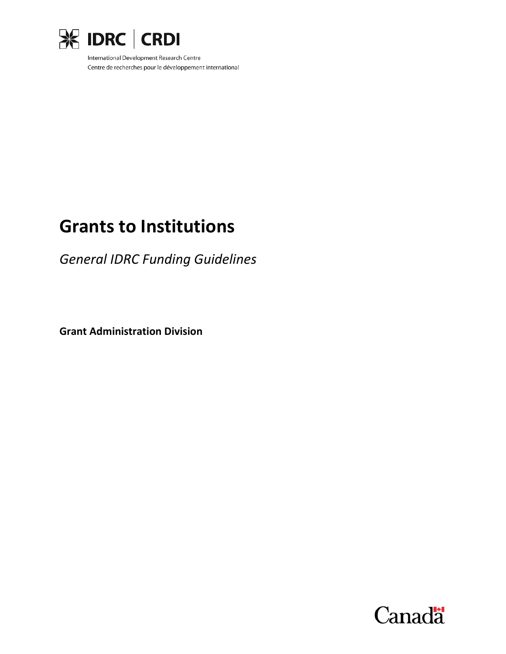

International Development Research Centre Centre de recherches pour le développement international

# **Grants to Institutions**

*General IDRC Funding Guidelines*

**Grant Administration Division**

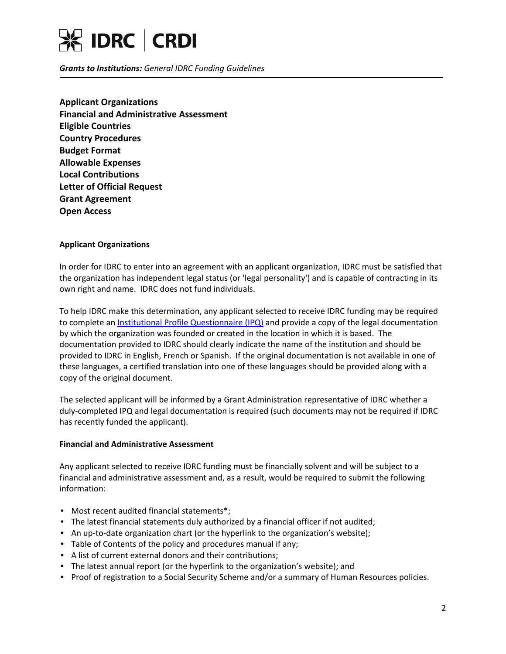

*Grants to Institutions: General IDRC Funding Guidelines*

**[Applicant Organizations](#page-1-0) [Financial and Administrative Assessment](#page-1-1) [Eligible Countries](#page-2-0) [Country Procedures](#page-2-1) [Budget Format](#page-2-2) [Allowable Expenses](#page-2-3) Local [Contributions](#page-2-4) [Letter of Official Request](#page-3-0) [Grant Agreement](#page-3-1) [Open Access](#page-3-2)**

## <span id="page-1-0"></span>**Applicant Organizations**

In order for IDRC to enter into an agreement with an applicant organization, IDRC must be satisfied that the organization has independent legal status (or 'legal personality') and is capable of contracting in its own right and name. IDRC does not fund individuals.

To help IDRC make this determination, any applicant selected to receive IDRC funding may be required to complete an [Institutional Profile Questionnaire \(IPQ\)](http://www.idrc.ca/EN/Funding/Guides_and_Forms/Documents/Inst-profile-e.pdf) and provide a copy of the legal documentation by which the organization was founded or created in the location in which it is based. The documentation provided to IDRC should clearly indicate the name of the institution and should be provided to IDRC in English, French or Spanish. If the original documentation is not available in one of these languages, a certified translation into one of these languages should be provided along with a copy of the original document.

The selected applicant will be informed by a Grant Administration representative of IDRC whether a duly-completed IPQ and legal documentation is required (such documents may not be required if IDRC has recently funded the applicant).

#### <span id="page-1-1"></span>**Financial and Administrative Assessment**

Any applicant selected to receive IDRC funding must be financially solvent and will be subject to a financial and administrative assessment and, as a result, would be required to submit the following information:

- Most recent audited financial statements\*;
- The latest financial statements duly authorized by a financial officer if not audited;
- An up-to-date organization chart (or the hyperlink to the organization's website);
- Table of Contents of the policy and procedures manual if any;
- A list of current external donors and their contributions;
- The latest annual report (or the hyperlink to the organization's website); and
- Proof of registration to a Social Security Scheme and/or a summary of Human Resources policies.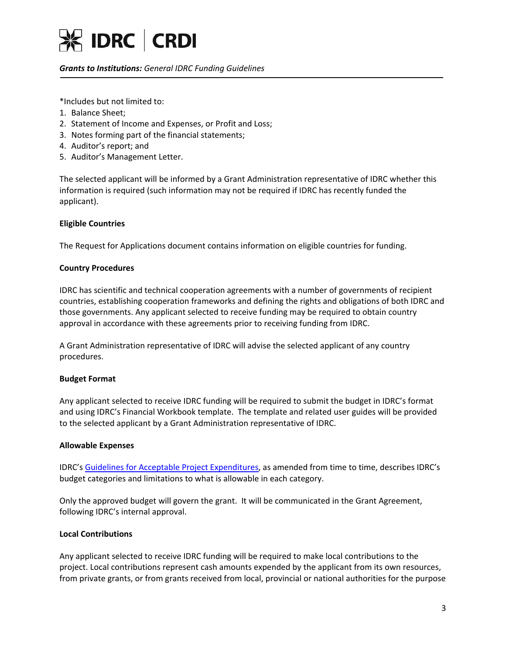

# *Grants to Institutions: General IDRC Funding Guidelines*

\*Includes but not limited to:

- 1. Balance Sheet;
- 2. Statement of Income and Expenses, or Profit and Loss;
- 3. Notes forming part of the financial statements;
- 4. Auditor's report; and
- 5. Auditor's Management Letter.

The selected applicant will be informed by a Grant Administration representative of IDRC whether this information is required (such information may not be required if IDRC has recently funded the applicant).

## <span id="page-2-0"></span>**Eligible Countries**

The Request for Applications document contains information on eligible countries for funding.

## <span id="page-2-1"></span>**Country Procedures**

IDRC has scientific and technical cooperation agreements with a number of governments of recipient countries, establishing cooperation frameworks and defining the rights and obligations of both IDRC and those governments. Any applicant selected to receive funding may be required to obtain country approval in accordance with these agreements prior to receiving funding from IDRC.

A Grant Administration representative of IDRC will advise the selected applicant of any country procedures.

#### <span id="page-2-2"></span>**Budget Format**

Any applicant selected to receive IDRC funding will be required to submit the budget in IDRC's format and using IDRC's Financial Workbook template. The template and related user guides will be provided to the selected applicant by a Grant Administration representative of IDRC.

#### <span id="page-2-3"></span>**Allowable Expenses**

IDRC's [Guidelines for Acceptable Project Expenditures,](http://www.idrc.ca/EN/Funding/Guides_and_Forms/Documents/Guidelines-for-Acceptable-Project-Expenditures.pdf) as amended from time to time, describes IDRC's budget categories and limitations to what is allowable in each category.

Only the approved budget will govern the grant. It will be communicated in the Grant Agreement, following IDRC's internal approval.

#### <span id="page-2-4"></span>**Local Contributions**

Any applicant selected to receive IDRC funding will be required to make local contributions to the project. Local contributions represent cash amounts expended by the applicant from its own resources, from private grants, or from grants received from local, provincial or national authorities for the purpose